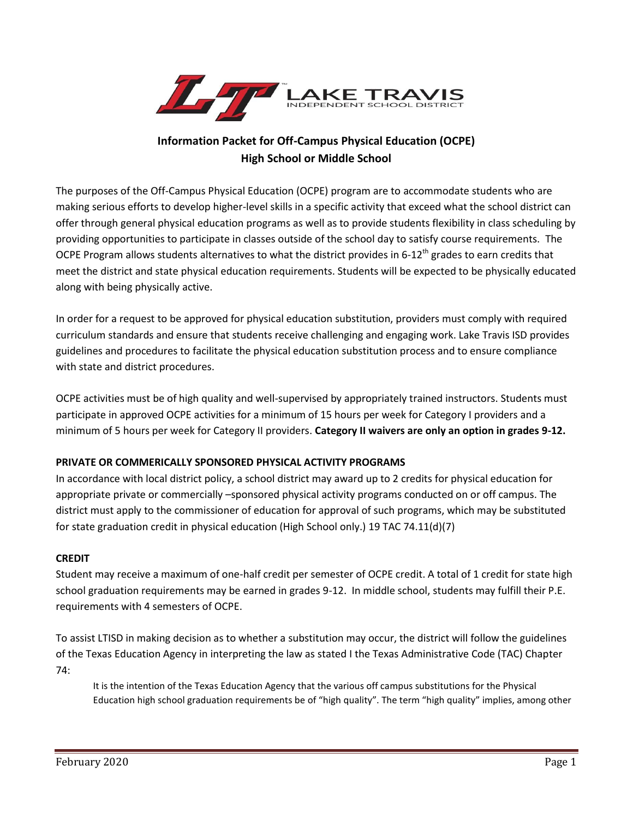

# **Information Packet for Off-Campus Physical Education (OCPE) High School or Middle School**

The purposes of the Off-Campus Physical Education (OCPE) program are to accommodate students who are making serious efforts to develop higher-level skills in a specific activity that exceed what the school district can offer through general physical education programs as well as to provide students flexibility in class scheduling by providing opportunities to participate in classes outside of the school day to satisfy course requirements. The OCPE Program allows students alternatives to what the district provides in 6-12<sup>th</sup> grades to earn credits that meet the district and state physical education requirements. Students will be expected to be physically educated along with being physically active.

In order for a request to be approved for physical education substitution, providers must comply with required curriculum standards and ensure that students receive challenging and engaging work. Lake Travis ISD provides guidelines and procedures to facilitate the physical education substitution process and to ensure compliance with state and district procedures.

OCPE activities must be of high quality and well-supervised by appropriately trained instructors. Students must participate in approved OCPE activities for a minimum of 15 hours per week for Category I providers and a minimum of 5 hours per week for Category II providers. **Category II waivers are only an option in grades 9-12.**

## **PRIVATE OR COMMERICALLY SPONSORED PHYSICAL ACTIVITY PROGRAMS**

In accordance with local district policy, a school district may award up to 2 credits for physical education for appropriate private or commercially –sponsored physical activity programs conducted on or off campus. The district must apply to the commissioner of education for approval of such programs, which may be substituted for state graduation credit in physical education (High School only.) 19 TAC 74.11(d)(7)

#### **CREDIT**

Student may receive a maximum of one-half credit per semester of OCPE credit. A total of 1 credit for state high school graduation requirements may be earned in grades 9-12. In middle school, students may fulfill their P.E. requirements with 4 semesters of OCPE.

To assist LTISD in making decision as to whether a substitution may occur, the district will follow the guidelines of the Texas Education Agency in interpreting the law as stated I the Texas Administrative Code (TAC) Chapter 74:

It is the intention of the Texas Education Agency that the various off campus substitutions for the Physical Education high school graduation requirements be of "high quality". The term "high quality" implies, among other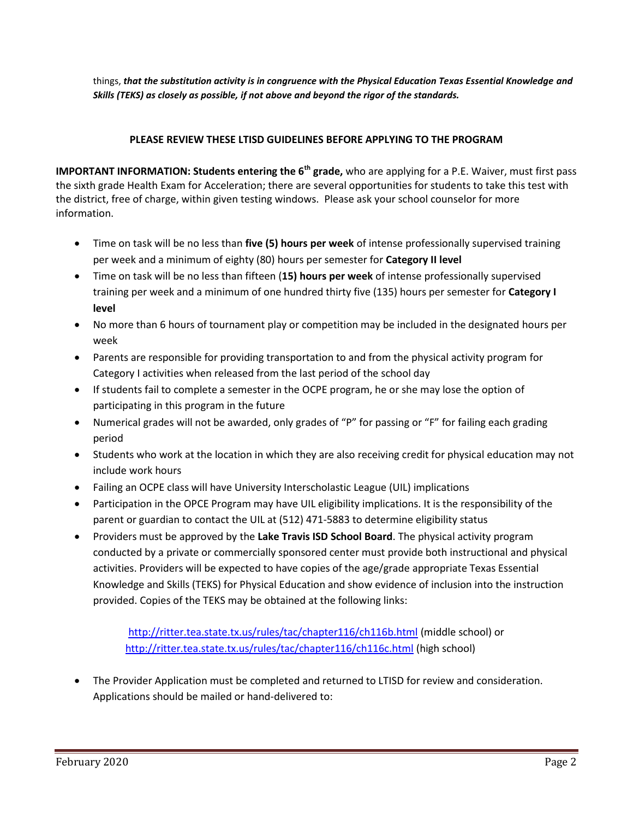things, *that the substitution activity is in congruence with the Physical Education Texas Essential Knowledge and Skills (TEKS) as closely as possible, if not above and beyond the rigor of the standards.* 

### **PLEASE REVIEW THESE LTISD GUIDELINES BEFORE APPLYING TO THE PROGRAM**

**IMPORTANT INFORMATION: Students entering the 6th grade,** who are applying for a P.E. Waiver, must first pass the sixth grade Health Exam for Acceleration; there are several opportunities for students to take this test with the district, free of charge, within given testing windows. Please ask your school counselor for more informatio[n.](https://goo.gl/jBm8M3)

- Time on task will be no less than **five (5) hours per week** of intense professionally supervised training per week and a minimum of eighty (80) hours per semester for **Category II level**
- Time on task will be no less than fifteen (**15) hours per week** of intense professionally supervised training per week and a minimum of one hundred thirty five (135) hours per semester for **Category I level**
- No more than 6 hours of tournament play or competition may be included in the designated hours per week
- Parents are responsible for providing transportation to and from the physical activity program for Category I activities when released from the last period of the school day
- If students fail to complete a semester in the OCPE program, he or she may lose the option of participating in this program in the future
- Numerical grades will not be awarded, only grades of "P" for passing or "F" for failing each grading period
- Students who work at the location in which they are also receiving credit for physical education may not include work hours
- Failing an OCPE class will have University Interscholastic League (UIL) implications
- Participation in the OPCE Program may have UIL eligibility implications. It is the responsibility of the parent or guardian to contact the UIL at (512) 471-5883 to determine eligibility status
- Providers must be approved by the **Lake Travis ISD School Board**. The physical activity program conducted by a private or commercially sponsored center must provide both instructional and physical activities. Providers will be expected to have copies of the age/grade appropriate Texas Essential Knowledge and Skills (TEKS) for Physical Education and show evidence of inclusion into the instruction provided. Copies of the TEKS may be obtained at the following links:

<http://ritter.tea.state.tx.us/rules/tac/chapter116/ch116b.html>(middle school) or <http://ritter.tea.state.tx.us/rules/tac/chapter116/ch116c.html>(high school)

 The Provider Application must be completed and returned to LTISD for review and consideration. Applications should be mailed or hand-delivered to: